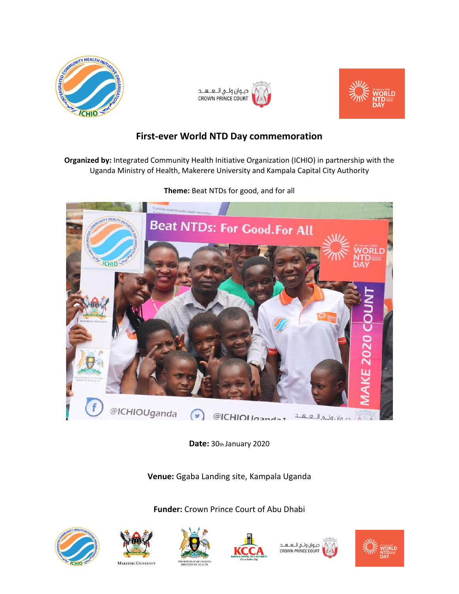





# **First-ever World NTD Day commemoration**

**Organized by:** Integrated Community Health Initiative Organization (ICHIO) in partnership with the Uganda Ministry of Health, Makerere University and Kampala Capital City Authority



**Theme:** Beat NTDs for good, and for all

**Date:** 30th January 2020

**Venue:** Ggaba Landing site, Kampala Uganda

**Funder:** Crown Prince Court of Abu Dhabi









ديــوان ولـــي الـــعــــهـــد<br>CROWN PRINCE COURT

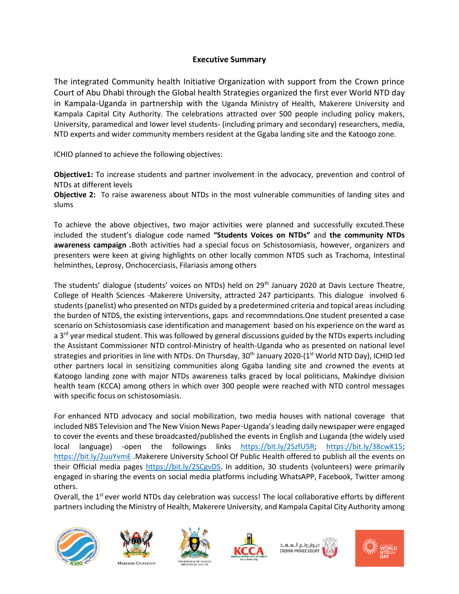## **Executive Summary**

The integrated Community health Initiative Organization with support from the Crown prince Court of Abu Dhabi through the Global health Strategies organized the first ever World NTD day in Kampala-Uganda in partnership with the Uganda Ministry of Health, Makerere University and Kampala Capital City Authority. The celebrations attracted over 500 people including policy makers, University, paramedical and lower level students- (including primary and secondary) researchers, media, NTD experts and wider community members resident at the Ggaba landing site and the Katoogo zone.

ICHIO planned to achieve the following objectives:

**Objective1:** To increase students and partner involvement in the advocacy, prevention and control of NTDs at different levels

**Objective 2:** To raise awareness about NTDs in the most vulnerable communities of landing sites and slums

To achieve the above objectives, two major activities were planned and successfully excuted.These included the student's dialogue code named **"Students Voices on NTDs"** and **the community NTDs awareness campaign .**Both activities had a special focus on Schistosomiasis, however, organizers and presenters were keen at giving highlights on other locally common NTDS such as Trachoma, Intestinal helminthes, Leprosy, Onchocerciasis, Filariasis among others

The students' dialogue (students' voices on NTDs) held on 29<sup>th</sup> January 2020 at Davis Lecture Theatre, College of Health Sciences -Makerere University, attracted 247 participants. This dialogue involved 6 students (panelist) who presented on NTDs guided by a predetermined criteria and topical areas including the burden of NTDS, the existing interventions, gaps and recommndations.One student presented a case scenario on Schistosomiasis case identification and management based on his experience on the ward as a  $3<sup>rd</sup>$  year medical student. This was followed by general discussions guided by the NTDs experts including the Assistant Commissioner NTD control-Ministry of health-Uganda who as presented on national level strategies and priorities in line with NTDs. On Thursday,  $30<sup>th</sup>$  January 2020-(1st World NTD Day), ICHIO led other partners local in sensitizing communities along Ggaba landing site and crowned the events at Katoogo landing zone with major NTDs awareness talks graced by local politicians, Makindye division health team (KCCA) among others in which over 300 people were reached with NTD control messages with specific focus on schistosomiasis.

For enhanced NTD advocacy and social mobilization, two media houses with national coverage that included NBS Television and The New Vision News Paper-Uganda's leading daily newspaper were engaged to cover the events and these broadcasted/published the events in English and Luganda (the widely used local language) -open the followings links [https://bit.ly/2SzfU5R;](https://bit.ly/2SzfU5R) [https://bit.ly/38cwK15;](https://bit.ly/38cwK15) <https://bit.ly/2uuYvmE> .Makerere University School Of Public Health offered to publish all the events on their Official media pages [https://bit.ly/2SCgvDS.](https://bit.ly/2SCgvDS) In addition, 30 students (volunteers) were primarily engaged in sharing the events on social media platforms including WhatsAPP, Facebook, Twitter among others.

Overall, the 1<sup>st</sup> ever world NTDs day celebration was success! The local collaborative efforts by different partners including the Ministry of Health, Makerere University, and Kampala Capital City Authority among





**MAKERERE UNIVERSITY** 







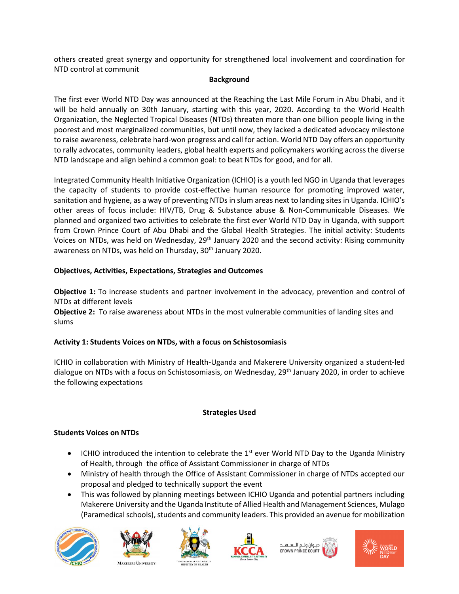others created great synergy and opportunity for strengthened local involvement and coordination for NTD control at communit

#### **Background**

The first ever World NTD Day was announced at the Reaching the Last Mile Forum in Abu Dhabi, and it will be held annually on 30th January, starting with this year, 2020. According to the World Health Organization, the Neglected Tropical Diseases (NTDs) threaten more than one billion people living in the poorest and most marginalized communities, but until now, they lacked a dedicated advocacy milestone to raise awareness, celebrate hard-won progress and call for action. World NTD Day offers an opportunity to rally advocates, community leaders, global health experts and policymakers working across the diverse NTD landscape and align behind a common goal: to beat NTDs for good, and for all.

Integrated Community Health Initiative Organization (ICHIO) is a youth led NGO in Uganda that leverages the capacity of students to provide cost-effective human resource for promoting improved water, sanitation and hygiene, as a way of preventing NTDs in slum areas next to landing sites in Uganda. ICHIO's other areas of focus include: HIV/TB, Drug & Substance abuse & Non-Communicable Diseases. We planned and organized two activities to celebrate the first ever World NTD Day in Uganda, with support from Crown Prince Court of Abu Dhabi and the Global Health Strategies. The initial activity: Students Voices on NTDs, was held on Wednesday, 29<sup>th</sup> January 2020 and the second activity: Rising community awareness on NTDs, was held on Thursday, 30<sup>th</sup> January 2020.

## **Objectives, Activities, Expectations, Strategies and Outcomes**

**Objective 1:** To increase students and partner involvement in the advocacy, prevention and control of NTDs at different levels

**Objective 2:** To raise awareness about NTDs in the most vulnerable communities of landing sites and slums

# **Activity 1: Students Voices on NTDs, with a focus on Schistosomiasis**

ICHIO in collaboration with Ministry of Health-Uganda and Makerere University organized a student-led dialogue on NTDs with a focus on Schistosomiasis, on Wednesday, 29<sup>th</sup> January 2020, in order to achieve the following expectations

## **Strategies Used**

## **Students Voices on NTDs**

- ICHIO introduced the intention to celebrate the  $1<sup>st</sup>$  ever World NTD Day to the Uganda Ministry of Health, through the office of Assistant Commissioner in charge of NTDs
- Ministry of health through the Office of Assistant Commissioner in charge of NTDs accepted our proposal and pledged to technically support the event
- This was followed by planning meetings between ICHIO Uganda and potential partners including Makerere University and the Uganda Institute of Allied Health and Management Sciences, Mulago (Paramedical schools), students and community leaders. This provided an avenue for mobilization













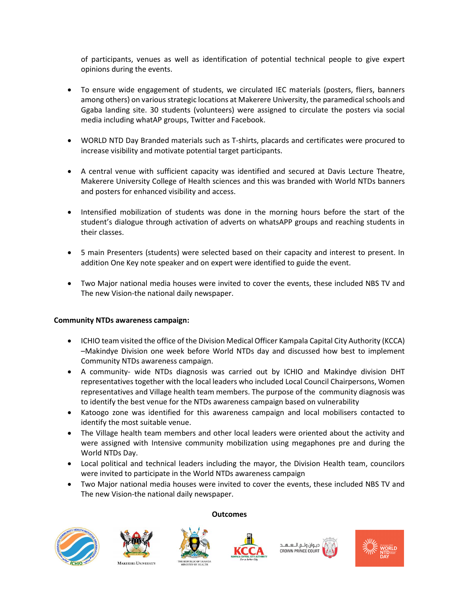of participants, venues as well as identification of potential technical people to give expert opinions during the events.

- To ensure wide engagement of students, we circulated IEC materials (posters, fliers, banners among others) on various strategic locations at Makerere University, the paramedical schools and Ggaba landing site. 30 students (volunteers) were assigned to circulate the posters via social media including whatAP groups, Twitter and Facebook.
- WORLD NTD Day Branded materials such as T-shirts, placards and certificates were procured to increase visibility and motivate potential target participants.
- A central venue with sufficient capacity was identified and secured at Davis Lecture Theatre, Makerere University College of Health sciences and this was branded with World NTDs banners and posters for enhanced visibility and access.
- Intensified mobilization of students was done in the morning hours before the start of the student's dialogue through activation of adverts on whatsAPP groups and reaching students in their classes.
- 5 main Presenters (students) were selected based on their capacity and interest to present. In addition One Key note speaker and on expert were identified to guide the event.
- Two Major national media houses were invited to cover the events, these included NBS TV and The new Vision-the national daily newspaper.

#### **Community NTDs awareness campaign:**

- ICHIO team visited the office of the Division Medical Officer Kampala Capital City Authority (KCCA) –Makindye Division one week before World NTDs day and discussed how best to implement Community NTDs awareness campaign.
- A community- wide NTDs diagnosis was carried out by ICHIO and Makindye division DHT representatives together with the local leaders who included Local Council Chairpersons, Women representatives and Village health team members. The purpose of the community diagnosis was to identify the best venue for the NTDs awareness campaign based on vulnerability
- Katoogo zone was identified for this awareness campaign and local mobilisers contacted to identify the most suitable venue.
- The Village health team members and other local leaders were oriented about the activity and were assigned with Intensive community mobilization using megaphones pre and during the World NTDs Day.
- Local political and technical leaders including the mayor, the Division Health team, councilors were invited to participate in the World NTDs awareness campaign
- Two Major national media houses were invited to cover the events, these included NBS TV and The new Vision-the national daily newspaper.

**Outcomes**









ديـوان ولــي الـــعـــهـــد **CROWN PRINCE COURT** 



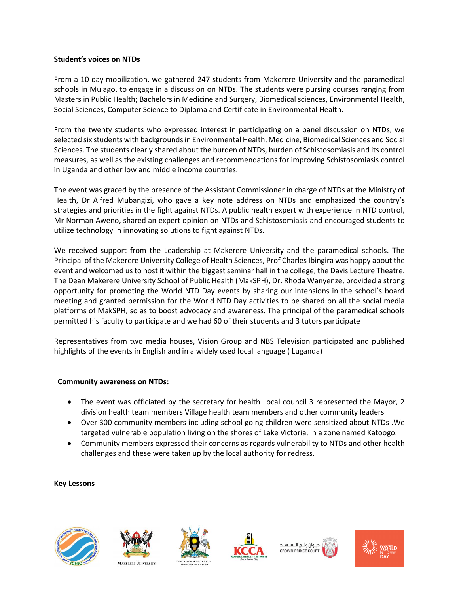#### **Student's voices on NTDs**

From a 10-day mobilization, we gathered 247 students from Makerere University and the paramedical schools in Mulago, to engage in a discussion on NTDs. The students were pursing courses ranging from Masters in Public Health; Bachelors in Medicine and Surgery, Biomedical sciences, Environmental Health, Social Sciences, Computer Science to Diploma and Certificate in Environmental Health.

From the twenty students who expressed interest in participating on a panel discussion on NTDs, we selected six students with backgrounds in Environmental Health, Medicine, Biomedical Sciences and Social Sciences. The students clearly shared about the burden of NTDs, burden of Schistosomiasis and its control measures, as well as the existing challenges and recommendations for improving Schistosomiasis control in Uganda and other low and middle income countries.

The event was graced by the presence of the Assistant Commissioner in charge of NTDs at the Ministry of Health, Dr Alfred Mubangizi, who gave a key note address on NTDs and emphasized the country's strategies and priorities in the fight against NTDs. A public health expert with experience in NTD control, Mr Norman Aweno, shared an expert opinion on NTDs and Schistosomiasis and encouraged students to utilize technology in innovating solutions to fight against NTDs.

We received support from the Leadership at Makerere University and the paramedical schools. The Principal of the Makerere University College of Health Sciences, Prof Charles Ibingira was happy about the event and welcomed us to host it within the biggest seminar hall in the college, the Davis Lecture Theatre. The Dean Makerere University School of Public Health (MakSPH), Dr. Rhoda Wanyenze, provided a strong opportunity for promoting the World NTD Day events by sharing our intensions in the school's board meeting and granted permission for the World NTD Day activities to be shared on all the social media platforms of MakSPH, so as to boost advocacy and awareness. The principal of the paramedical schools permitted his faculty to participate and we had 60 of their students and 3 tutors participate

Representatives from two media houses, Vision Group and NBS Television participated and published highlights of the events in English and in a widely used local language ( Luganda)

## **Community awareness on NTDs:**

- The event was officiated by the secretary for health Local council 3 represented the Mayor, 2 division health team members Village health team members and other community leaders
- Over 300 community members including school going children were sensitized about NTDs .We targeted vulnerable population living on the shores of Lake Victoria, in a zone named Katoogo.
- Community members expressed their concerns as regards vulnerability to NTDs and other health challenges and these were taken up by the local authority for redress.

#### **Key Lessons**











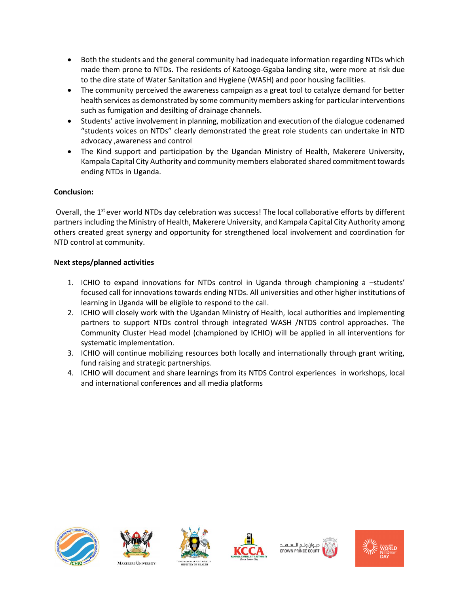- Both the students and the general community had inadequate information regarding NTDs which made them prone to NTDs. The residents of Katoogo-Ggaba landing site, were more at risk due to the dire state of Water Sanitation and Hygiene (WASH) and poor housing facilities.
- The community perceived the awareness campaign as a great tool to catalyze demand for better health services as demonstrated by some community members asking for particular interventions such as fumigation and desilting of drainage channels.
- Students' active involvement in planning, mobilization and execution of the dialogue codenamed "students voices on NTDs" clearly demonstrated the great role students can undertake in NTD advocacy ,awareness and control
- The Kind support and participation by the Ugandan Ministry of Health, Makerere University, Kampala Capital City Authority and community members elaborated shared commitment towards ending NTDs in Uganda.

## **Conclusion:**

Overall, the 1<sup>st</sup> ever world NTDs day celebration was success! The local collaborative efforts by different partners including the Ministry of Health, Makerere University, and Kampala Capital City Authority among others created great synergy and opportunity for strengthened local involvement and coordination for NTD control at community.

## **Next steps/planned activities**

- 1. ICHIO to expand innovations for NTDs control in Uganda through championing a –students' focused call for innovations towards ending NTDs. All universities and other higher institutions of learning in Uganda will be eligible to respond to the call.
- 2. ICHIO will closely work with the Ugandan Ministry of Health, local authorities and implementing partners to support NTDs control through integrated WASH /NTDS control approaches. The Community Cluster Head model (championed by ICHIO) will be applied in all interventions for systematic implementation.
- 3. ICHIO will continue mobilizing resources both locally and internationally through grant writing, fund raising and strategic partnerships.
- 4. ICHIO will document and share learnings from its NTDS Control experiences in workshops, local and international conferences and all media platforms









دېوان ولي اللغ له CROWN PRINCE COUR

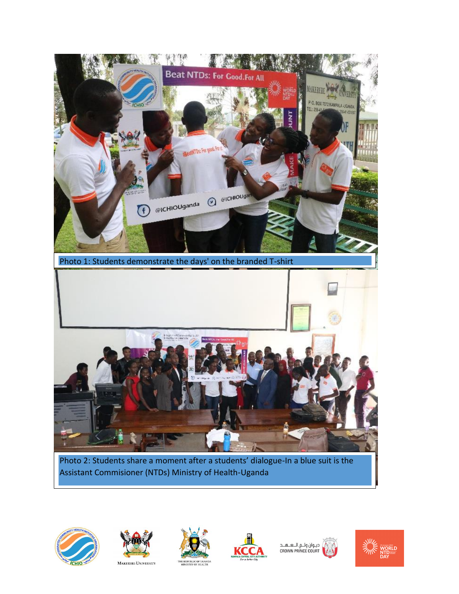

Assistant Commisioner (NTDs) Ministry of Health-Uganda